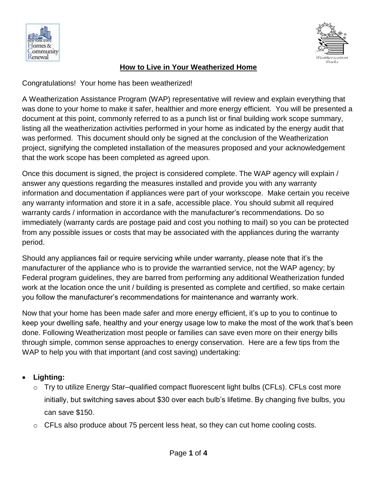



## **How to Live in Your Weatherized Home**

Congratulations! Your home has been weatherized!

A Weatherization Assistance Program (WAP) representative will review and explain everything that was done to your home to make it safer, healthier and more energy efficient. You will be presented a document at this point, commonly referred to as a punch list or final building work scope summary, listing all the weatherization activities performed in your home as indicated by the energy audit that was performed. This document should only be signed at the conclusion of the Weatherization project, signifying the completed installation of the measures proposed and your acknowledgement that the work scope has been completed as agreed upon.

Once this document is signed, the project is considered complete. The WAP agency will explain / answer any questions regarding the measures installed and provide you with any warranty information and documentation if appliances were part of your workscope. Make certain you receive any warranty information and store it in a safe, accessible place. You should submit all required warranty cards / information in accordance with the manufacturer's recommendations. Do so immediately (warranty cards are postage paid and cost you nothing to mail) so you can be protected from any possible issues or costs that may be associated with the appliances during the warranty period.

Should any appliances fail or require servicing while under warranty, please note that it's the manufacturer of the appliance who is to provide the warrantied service, not the WAP agency; by Federal program guidelines, they are barred from performing any additional Weatherization funded work at the location once the unit / building is presented as complete and certified, so make certain you follow the manufacturer's recommendations for maintenance and warranty work.

Now that your home has been made safer and more energy efficient, it's up to you to continue to keep your dwelling safe, healthy and your energy usage low to make the most of the work that's been done. Following Weatherization most people or families can save even more on their energy bills through simple, common sense approaches to energy conservation. Here are a few tips from the WAP to help you with that important (and cost saving) undertaking:

## **Lighting:**

- o Try to utilize Energy Star–qualified compact fluorescent light bulbs (CFLs). CFLs cost more initially, but switching saves about \$30 over each bulb's lifetime. By changing five bulbs, you can save \$150.
- $\circ$  CFLs also produce about 75 percent less heat, so they can cut home cooling costs.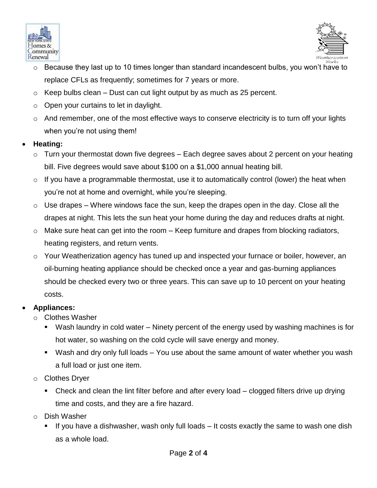



- $\circ$  Because they last up to 10 times longer than standard incandescent bulbs, you won't have to replace CFLs as frequently; sometimes for 7 years or more.
- $\circ$  Keep bulbs clean Dust can cut light output by as much as 25 percent.
- $\circ$  Open your curtains to let in daylight.
- $\circ$  And remember, one of the most effective ways to conserve electricity is to turn off your lights when you're not using them!

## **Heating:**

- $\circ$  Turn your thermostat down five degrees Each degree saves about 2 percent on your heating bill. Five degrees would save about \$100 on a \$1,000 annual heating bill.
- $\circ$  If you have a programmable thermostat, use it to automatically control (lower) the heat when you're not at home and overnight, while you're sleeping.
- $\circ$  Use drapes Where windows face the sun, keep the drapes open in the day. Close all the drapes at night. This lets the sun heat your home during the day and reduces drafts at night.
- $\circ$  Make sure heat can get into the room Keep furniture and drapes from blocking radiators, heating registers, and return vents.
- o Your Weatherization agency has tuned up and inspected your furnace or boiler, however, an oil-burning heating appliance should be checked once a year and gas-burning appliances should be checked every two or three years. This can save up to 10 percent on your heating costs.

## **Appliances:**

- o Clothes Washer
	- Wash laundry in cold water Ninety percent of the energy used by washing machines is for hot water, so washing on the cold cycle will save energy and money.
	- Wash and dry only full loads You use about the same amount of water whether you wash a full load or just one item.
- o Clothes Dryer
	- Check and clean the lint filter before and after every load clogged filters drive up drying time and costs, and they are a fire hazard.
- o Dish Washer
	- If you have a dishwasher, wash only full loads It costs exactly the same to wash one dish as a whole load.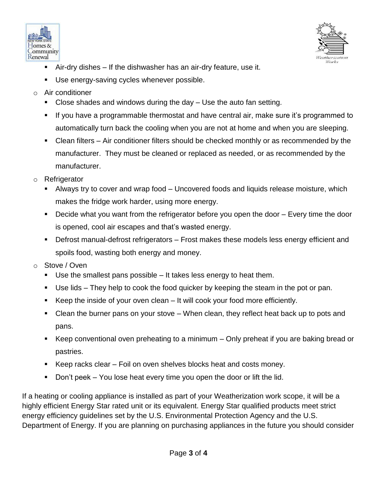



- Air-dry dishes If the dishwasher has an air-dry feature, use it.
- Use energy-saving cycles whenever possible.
- $\circ$  Air conditioner
	- Close shades and windows during the day Use the auto fan setting.
	- If you have a programmable thermostat and have central air, make sure it's programmed to automatically turn back the cooling when you are not at home and when you are sleeping.
	- Clean filters Air conditioner filters should be checked monthly or as recommended by the manufacturer. They must be cleaned or replaced as needed, or as recommended by the manufacturer.
- o Refrigerator
	- Always try to cover and wrap food Uncovered foods and liquids release moisture, which makes the fridge work harder, using more energy.
	- **Decide what you want from the refrigerator before you open the door Every time the door** is opened, cool air escapes and that's wasted energy.
	- Defrost manual-defrost refrigerators Frost makes these models less energy efficient and spoils food, wasting both energy and money.
- o Stove / Oven
	- Use the smallest pans possible It takes less energy to heat them.
	- Use lids They help to cook the food quicker by keeping the steam in the pot or pan.
	- Keep the inside of your oven clean It will cook your food more efficiently.
	- Clean the burner pans on your stove When clean, they reflect heat back up to pots and pans.
	- Keep conventional oven preheating to a minimum Only preheat if you are baking bread or pastries.
	- Keep racks clear Foil on oven shelves blocks heat and costs money.
	- Don't peek You lose heat every time you open the door or lift the lid.

If a heating or cooling appliance is installed as part of your Weatherization work scope, it will be a highly efficient Energy Star rated unit or its equivalent. Energy Star qualified products meet strict energy efficiency guidelines set by the U.S. Environmental Protection Agency and the U.S. Department of Energy. If you are planning on purchasing appliances in the future you should consider